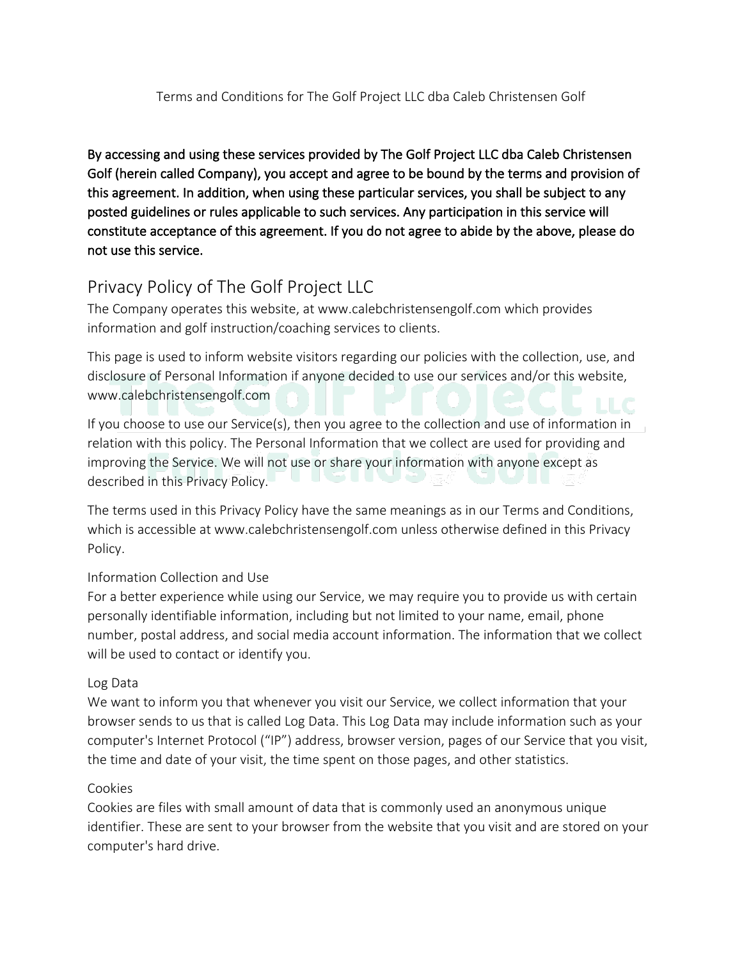### Terms and Conditions for The Golf Project LLC dba Caleb Christensen Golf

By accessing and using these services provided by The Golf Project LLC dba Caleb Christensen Golf (herein called Company), you accept and agree to be bound by the terms and provision of this agreement. In addition, when using these particular services, you shall be subject to any posted guidelines or rules applicable to such services. Any participation in this service will constitute acceptance of this agreement. If you do not agree to abide by the above, please do not use this service.

# Privacy Policy of The Golf Project LLC

The Company operates this website, at www.calebchristensengolf.com which provides information and golf instruction/coaching services to clients.

This page is used to inform website visitors regarding our policies with the collection, use, and disclosure of Personal Information if anyone decided to use our services and/or this website, www.calebchristensengolf.com

If you choose to use our Service(s), then you agree to the collection and use of information in relation with this policy. The Personal Information that we collect are used for providing and improving the Service. We will not use or share your information with anyone except as **ALLA** リロバッグ described in this Privacy Policy.

The terms used in this Privacy Policy have the same meanings as in our Terms and Conditions, which is accessible at www.calebchristensengolf.com unless otherwise defined in this Privacy Policy.

## Information Collection and Use

For a better experience while using our Service, we may require you to provide us with certain personally identifiable information, including but not limited to your name, email, phone number, postal address, and social media account information. The information that we collect will be used to contact or identify you.

### Log Data

We want to inform you that whenever you visit our Service, we collect information that your browser sends to us that is called Log Data. This Log Data may include information such as your computer's Internet Protocol ("IP") address, browser version, pages of our Service that you visit, the time and date of your visit, the time spent on those pages, and other statistics.

### Cookies

Cookies are files with small amount of data that is commonly used an anonymous unique identifier. These are sent to your browser from the website that you visit and are stored on your computer's hard drive.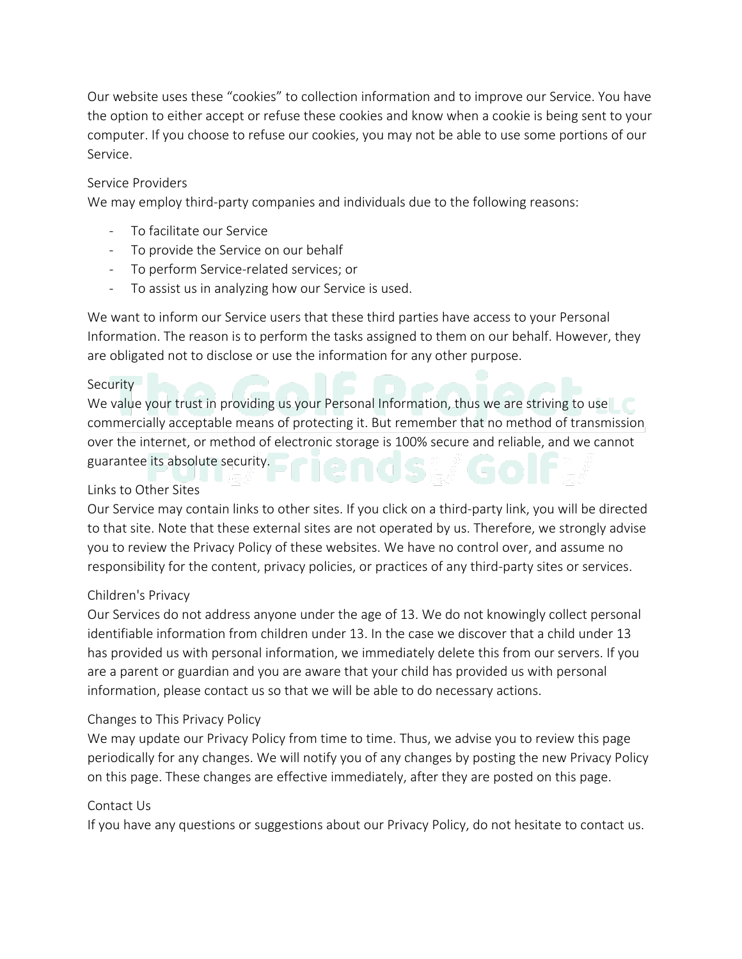Our website uses these "cookies" to collection information and to improve our Service. You have the option to either accept or refuse these cookies and know when a cookie is being sent to your computer. If you choose to refuse our cookies, you may not be able to use some portions of our Service.

### Service Providers

We may employ third-party companies and individuals due to the following reasons:

- To facilitate our Service
- To provide the Service on our behalf
- To perform Service-related services; or
- To assist us in analyzing how our Service is used.

We want to inform our Service users that these third parties have access to your Personal Information. The reason is to perform the tasks assigned to them on our behalf. However, they are obligated not to disclose or use the information for any other purpose.

#### Security<sup>-1</sup>

We value your trust in providing us your Personal Information, thus we are striving to use commercially acceptable means of protecting it. But remember that no method of transmission over the internet, or method of electronic storage is 100% secure and reliable, and we cannot guarantee its absolute security. al max 11

### Links to Other Sites

Our Service may contain links to other sites. If you click on a third-party link, you will be directed to that site. Note that these external sites are not operated by us. Therefore, we strongly advise you to review the Privacy Policy of these websites. We have no control over, and assume no responsibility for the content, privacy policies, or practices of any third-party sites or services.

#### Children's Privacy

Our Services do not address anyone under the age of 13. We do not knowingly collect personal identifiable information from children under 13. In the case we discover that a child under 13 has provided us with personal information, we immediately delete this from our servers. If you are a parent or guardian and you are aware that your child has provided us with personal information, please contact us so that we will be able to do necessary actions.

#### Changes to This Privacy Policy

We may update our Privacy Policy from time to time. Thus, we advise you to review this page periodically for any changes. We will notify you of any changes by posting the new Privacy Policy on this page. These changes are effective immediately, after they are posted on this page.

#### Contact Us

If you have any questions or suggestions about our Privacy Policy, do not hesitate to contact us.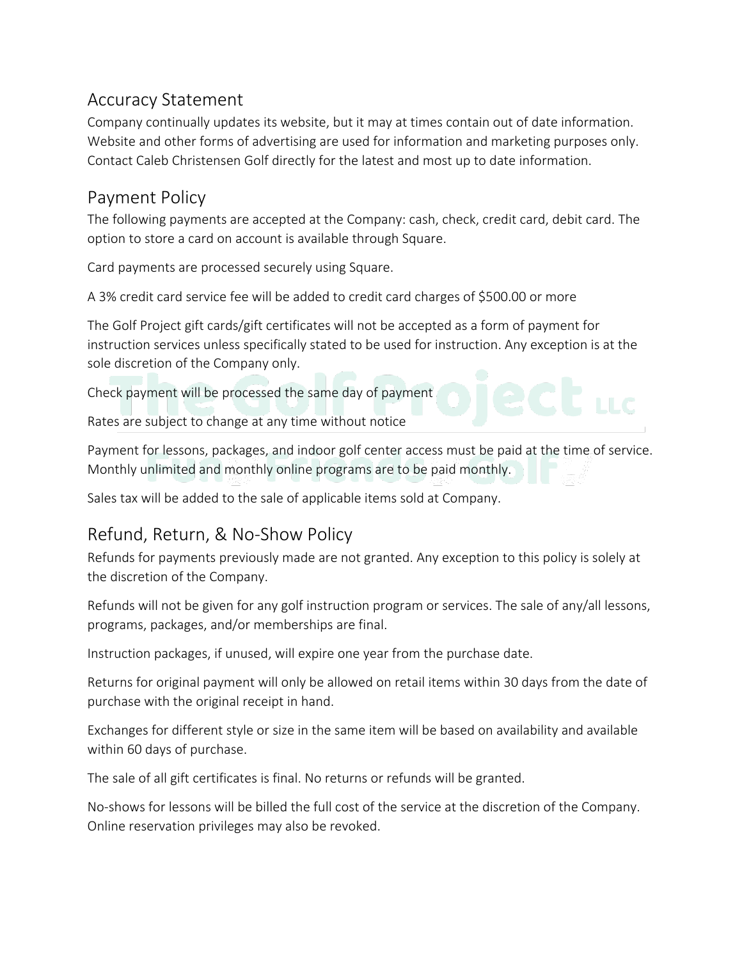## Accuracy Statement

Company continually updates its website, but it may at times contain out of date information. Website and other forms of advertising are used for information and marketing purposes only. Contact Caleb Christensen Golf directly for the latest and most up to date information.

## Payment Policy

The following payments are accepted at the Company: cash, check, credit card, debit card. The option to store a card on account is available through Square.

Card payments are processed securely using Square.

A 3% credit card service fee will be added to credit card charges of \$500.00 or more

The Golf Project gift cards/gift certificates will not be accepted as a form of payment for instruction services unless specifically stated to be used for instruction. Any exception is at the sole discretion of the Company only.

Check payment will be processed the same day of payment

Rates are subject to change at any time without notice

Payment for lessons, packages, and indoor golf center access must be paid at the time of service. Monthly unlimited and monthly online programs are to be paid monthly.

Sales tax will be added to the sale of applicable items sold at Company.

## Refund, Return, & No-Show Policy

Refunds for payments previously made are not granted. Any exception to this policy is solely at the discretion of the Company.

Refunds will not be given for any golf instruction program or services. The sale of any/all lessons, programs, packages, and/or memberships are final.

Instruction packages, if unused, will expire one year from the purchase date.

Returns for original payment will only be allowed on retail items within 30 days from the date of purchase with the original receipt in hand.

Exchanges for different style or size in the same item will be based on availability and available within 60 days of purchase.

The sale of all gift certificates is final. No returns or refunds will be granted.

No-shows for lessons will be billed the full cost of the service at the discretion of the Company. Online reservation privileges may also be revoked.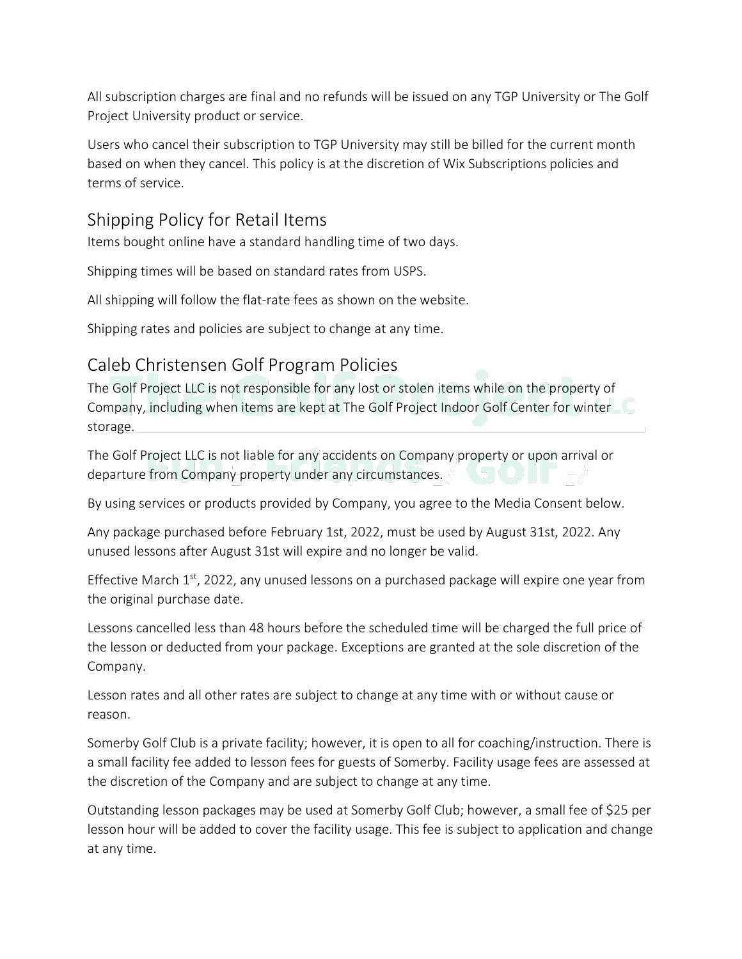All subscription charges are final and no refunds will be issued on any TGP University or The Golf Project University product or service.

Users who cancel their subscription to TGP University may still be billed for the current month based on when they cancel. This policy is at the discretion of Wix Subscriptions policies and terms of service.

## Shipping Policy for Retail Items

Items bought online have a standard handling time of two days.

Shipping times will be based on standard rates from USPS.

All shipping will follow the flat-rate fees as shown on the website.

Shipping rates and policies are subject to change at any time.

# Caleb Christensen Golf Program Policies

The Golf Project LLC is not responsible for any lost or stolen items while on the property of Company, including when items are kept at The Golf Project Indoor Golf Center for winter storage.

The Golf Project LLC is not liable for any accidents on Company property or upon arrival or departure from Company property under any circumstances.

By using services or products provided by Company, you agree to the Media Consent below.

Any package purchased before February 1st, 2022, must be used by August 31st, 2022. Any unused lessons after August 31st will expire and no longer be valid.

Effective March  $1<sup>st</sup>$ , 2022, any unused lessons on a purchased package will expire one year from the original purchase date.

Lessons cancelled less than 48 hours before the scheduled time will be charged the full price of the lesson or deducted from your package. Exceptions are granted at the sole discretion of the Company.

Lesson rates and all other rates are subject to change at any time with or without cause or reason.

Somerby Golf Club is a private facility; however, it is open to all for coaching/instruction. There is a small facility fee added to lesson fees for guests of Somerby. Facility usage fees are assessed at the discretion of the Company and are subject to change at any time.

Outstanding lesson packages may be used at Somerby Golf Club; however, a small fee of \$25 per lesson hour will be added to cover the facility usage. This fee is subject to application and change at any time.